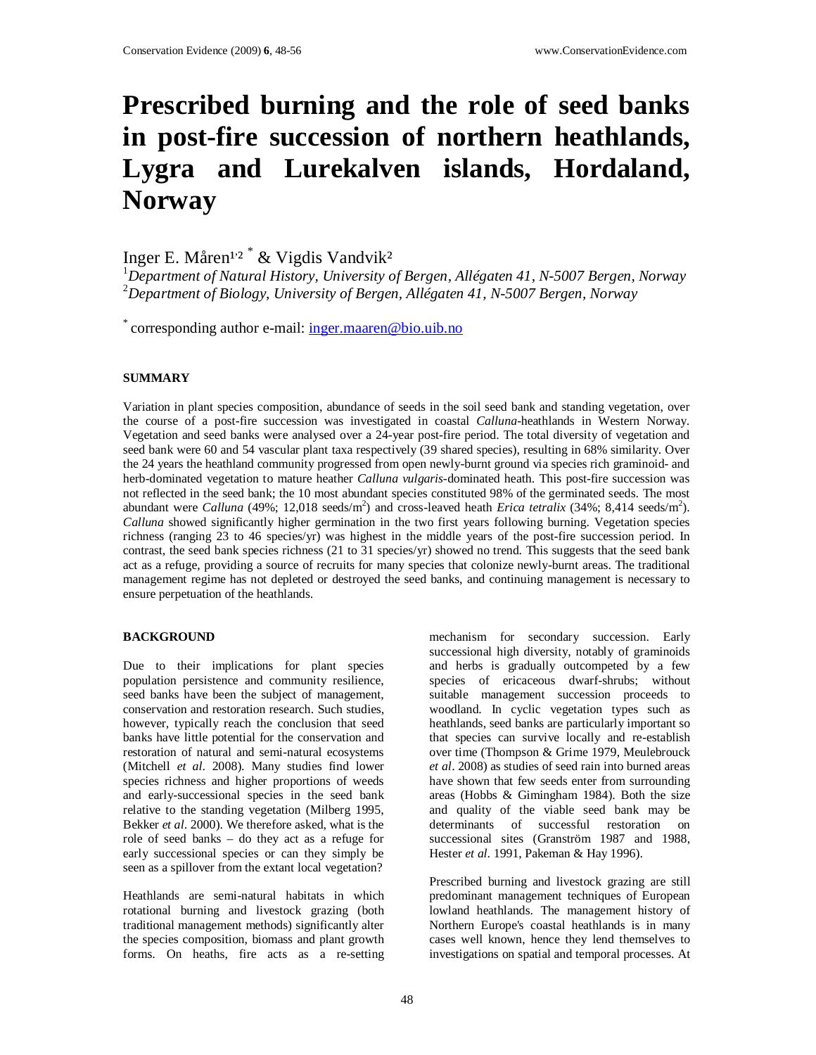# **Prescribed burning and the role of seed banks in post-fire succession of northern heathlands, Lygra and Lurekalven islands, Hordaland, Norway**

Inger E. Måren<sup>1,2</sup> \* & Vigdis Vandvik<sup>2</sup>

<sup>1</sup>*Department of Natural History, University of Bergen, Allégaten 41, N-5007 Bergen, Norway*  <sup>2</sup>*Department of Biology, University of Bergen, Allégaten 41, N-5007 Bergen, Norway*

\* corresponding author e-mail: inger.maaren@bio.uib.no

### **SUMMARY**

Variation in plant species composition, abundance of seeds in the soil seed bank and standing vegetation, over the course of a post-fire succession was investigated in coastal *Calluna-*heathlands in Western Norway. Vegetation and seed banks were analysed over a 24-year post-fire period. The total diversity of vegetation and seed bank were 60 and 54 vascular plant taxa respectively (39 shared species), resulting in 68% similarity. Over the 24 years the heathland community progressed from open newly-burnt ground via species rich graminoid- and herb-dominated vegetation to mature heather *Calluna vulgaris-*dominated heath. This post-fire succession was not reflected in the seed bank; the 10 most abundant species constituted 98% of the germinated seeds. The most abundant were *Calluna* (49%; 12,018 seeds/m<sup>2</sup>) and cross-leaved heath *Erica tetralix* (34%; 8,414 seeds/m<sup>2</sup>). *Calluna* showed significantly higher germination in the two first years following burning. Vegetation species richness (ranging 23 to 46 species/yr) was highest in the middle years of the post-fire succession period. In contrast, the seed bank species richness (21 to 31 species/yr) showed no trend. This suggests that the seed bank act as a refuge, providing a source of recruits for many species that colonize newly-burnt areas. The traditional management regime has not depleted or destroyed the seed banks, and continuing management is necessary to ensure perpetuation of the heathlands.

# **BACKGROUND**

Due to their implications for plant species population persistence and community resilience, seed banks have been the subject of management, conservation and restoration research. Such studies, however, typically reach the conclusion that seed banks have little potential for the conservation and restoration of natural and semi-natural ecosystems (Mitchell *et al*. 2008). Many studies find lower species richness and higher proportions of weeds and early-successional species in the seed bank relative to the standing vegetation (Milberg 1995, Bekker *et al*. 2000). We therefore asked, what is the role of seed banks – do they act as a refuge for early successional species or can they simply be seen as a spillover from the extant local vegetation?

Heathlands are semi-natural habitats in which rotational burning and livestock grazing (both traditional management methods) significantly alter the species composition, biomass and plant growth forms. On heaths, fire acts as a re-setting mechanism for secondary succession. Early successional high diversity, notably of graminoids and herbs is gradually outcompeted by a few species of ericaceous dwarf-shrubs; without suitable management succession proceeds to woodland. In cyclic vegetation types such as heathlands, seed banks are particularly important so that species can survive locally and re-establish over time (Thompson & Grime 1979, Meulebrouck *et al*. 2008) as studies of seed rain into burned areas have shown that few seeds enter from surrounding areas (Hobbs & Gimingham 1984). Both the size and quality of the viable seed bank may be determinants of successful restoration on successional sites (Granström 1987 and 1988, Hester *et al*. 1991, Pakeman & Hay 1996).

Prescribed burning and livestock grazing are still predominant management techniques of European lowland heathlands. The management history of Northern Europe's coastal heathlands is in many cases well known, hence they lend themselves to investigations on spatial and temporal processes. At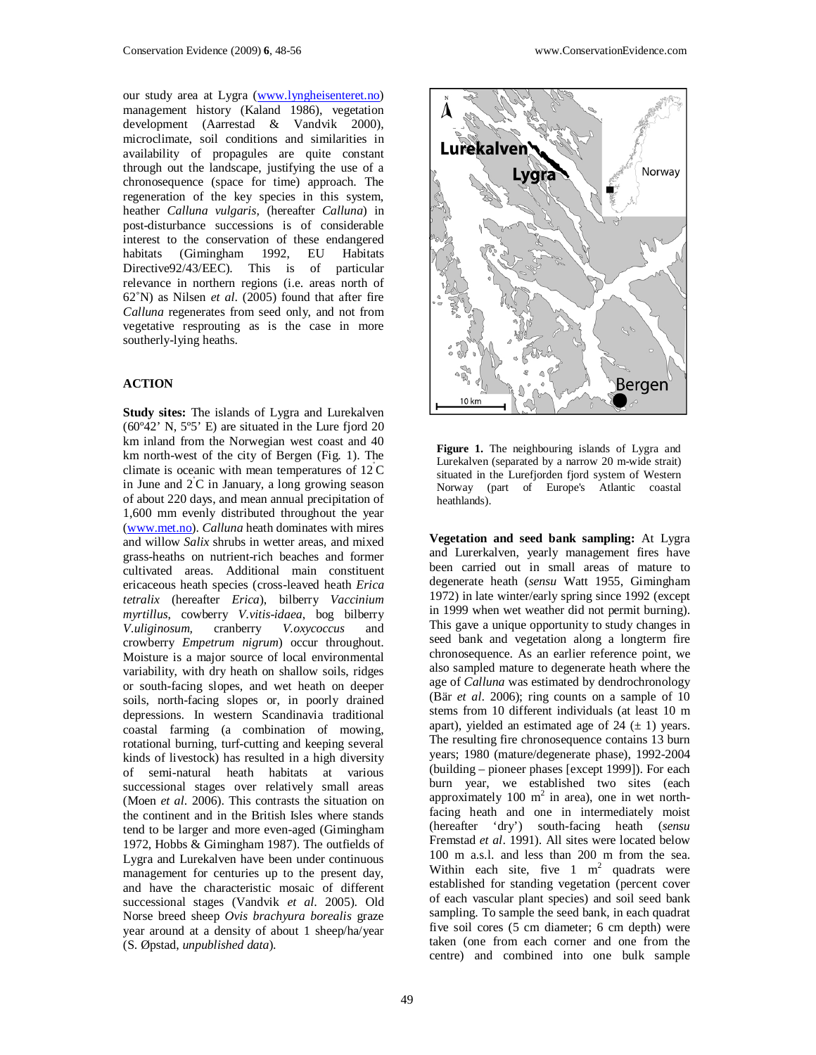our study area at Lygra (www.lyngheisenteret.no) management history (Kaland 1986), vegetation development (Aarrestad & Vandvik 2000), microclimate, soil conditions and similarities in availability of propagules are quite constant through out the landscape, justifying the use of a chronosequence (space for time) approach. The regeneration of the key species in this system, heather *Calluna vulgaris,* (hereafter *Calluna*) in post-disturbance successions is of considerable interest to the conservation of these endangered habitats (Gimingham 1992, EU Habitats Directive92/43/EEC). This is of particular relevance in northern regions (i.e. areas north of 62˚N) as Nilsen *et al*. (2005) found that after fire *Calluna* regenerates from seed only, and not from vegetative resprouting as is the case in more southerly-lying heaths.

#### **ACTION**

**Study sites:** The islands of Lygra and Lurekalven  $(60°42'$  N,  $5°5'$  E) are situated in the Lure fjord 20 km inland from the Norwegian west coast and 40 km north-west of the city of Bergen (Fig. 1). The climate is oceanic with mean temperatures of  $12^{\circ}$ C in June and  $2^{\circ}$ C in January, a long growing season of about 220 days, and mean annual precipitation of 1,600 mm evenly distributed throughout the year (www.met.no). *Calluna* heath dominates with mires and willow *Salix* shrubs in wetter areas, and mixed grass-heaths on nutrient-rich beaches and former cultivated areas. Additional main constituent ericaceous heath species (cross-leaved heath *Erica tetralix* (hereafter *Erica*), bilberry *Vaccinium myrtillus*, cowberry *V.vitis-idaea*, bog bilberry *V.uliginosum,* cranberry *V.oxycoccus* and crowberry *Empetrum nigrum*) occur throughout. Moisture is a major source of local environmental variability, with dry heath on shallow soils, ridges or south-facing slopes, and wet heath on deeper soils, north-facing slopes or, in poorly drained depressions. In western Scandinavia traditional coastal farming (a combination of mowing, rotational burning, turf-cutting and keeping several kinds of livestock) has resulted in a high diversity of semi-natural heath habitats at various successional stages over relatively small areas (Moen *et al*. 2006). This contrasts the situation on the continent and in the British Isles where stands tend to be larger and more even-aged (Gimingham 1972, Hobbs & Gimingham 1987). The outfields of Lygra and Lurekalven have been under continuous management for centuries up to the present day, and have the characteristic mosaic of different successional stages (Vandvik *et al*. 2005). Old Norse breed sheep *Ovis brachyura borealis* graze year around at a density of about 1 sheep/ha/year (S. Øpstad, *unpublished data*).



**Figure 1.** The neighbouring islands of Lygra and Lurekalven (separated by a narrow 20 m-wide strait) situated in the Lurefjorden fjord system of Western Norway (part of Europe's Atlantic coastal heathlands).

**Vegetation and seed bank sampling:** At Lygra and Lurerkalven, yearly management fires have been carried out in small areas of mature to degenerate heath (*sensu* Watt 1955, Gimingham 1972) in late winter/early spring since 1992 (except in 1999 when wet weather did not permit burning). This gave a unique opportunity to study changes in seed bank and vegetation along a longterm fire chronosequence. As an earlier reference point, we also sampled mature to degenerate heath where the age of *Calluna* was estimated by dendrochronology (Bär *et al*. 2006); ring counts on a sample of 10 stems from 10 different individuals (at least 10 m apart), yielded an estimated age of  $24 (\pm 1)$  years. The resulting fire chronosequence contains 13 burn years; 1980 (mature/degenerate phase), 1992-2004 (building – pioneer phases [except 1999]). For each burn year, we established two sites (each approximately 100  $m^2$  in area), one in wet northfacing heath and one in intermediately moist (hereafter 'dry') south-facing heath (*sensu*  Fremstad *et al*. 1991). All sites were located below 100 m a.s.l. and less than 200 m from the sea. Within each site, five  $1 \text{ m}^2$  quadrats were established for standing vegetation (percent cover of each vascular plant species) and soil seed bank sampling. To sample the seed bank, in each quadrat five soil cores (5 cm diameter; 6 cm depth) were taken (one from each corner and one from the centre) and combined into one bulk sample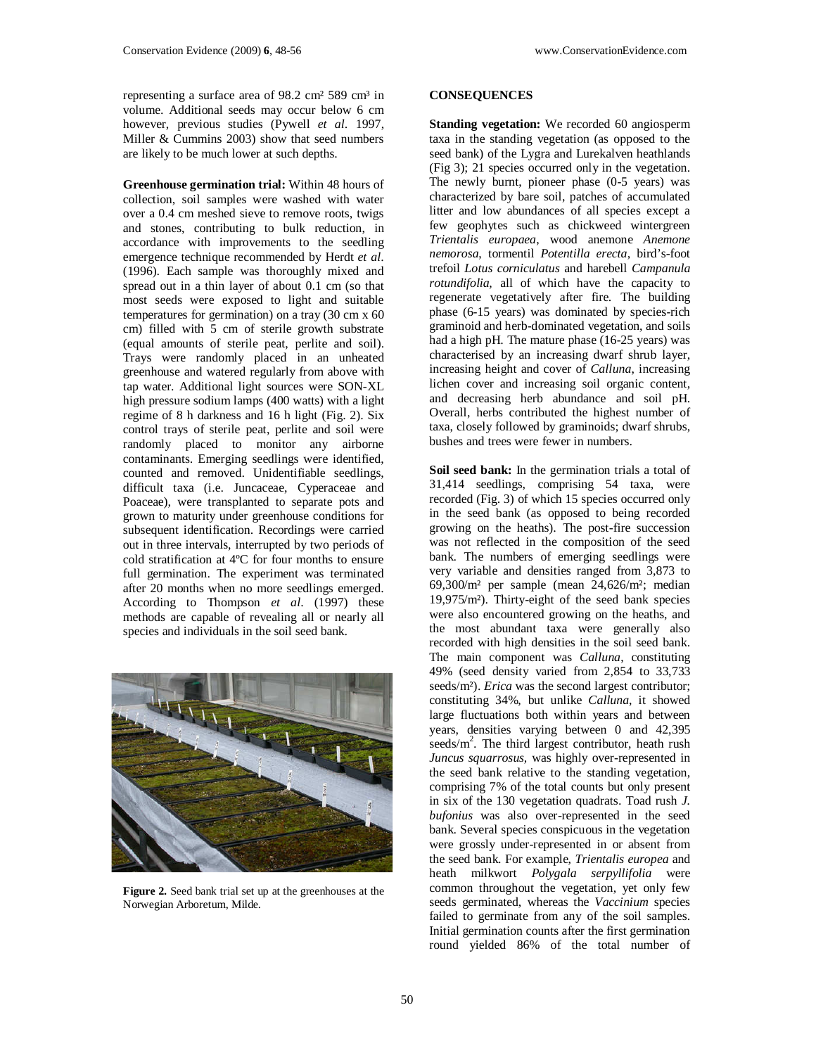representing a surface area of  $98.2 \text{ cm}^2 589 \text{ cm}^3$  in volume. Additional seeds may occur below 6 cm however, previous studies (Pywell *et al*. 1997, Miller & Cummins 2003) show that seed numbers are likely to be much lower at such depths.

**Greenhouse germination trial:** Within 48 hours of collection, soil samples were washed with water over a 0.4 cm meshed sieve to remove roots, twigs and stones, contributing to bulk reduction, in accordance with improvements to the seedling emergence technique recommended by Herdt *et al*. (1996). Each sample was thoroughly mixed and spread out in a thin layer of about 0.1 cm (so that most seeds were exposed to light and suitable temperatures for germination) on a tray (30 cm x 60 cm) filled with 5 cm of sterile growth substrate (equal amounts of sterile peat, perlite and soil). Trays were randomly placed in an unheated greenhouse and watered regularly from above with tap water. Additional light sources were SON-XL high pressure sodium lamps (400 watts) with a light regime of 8 h darkness and 16 h light (Fig. 2). Six control trays of sterile peat, perlite and soil were randomly placed to monitor any airborne contaminants. Emerging seedlings were identified, counted and removed. Unidentifiable seedlings, difficult taxa (i.e. Juncaceae, Cyperaceae and Poaceae)*,* were transplanted to separate pots and grown to maturity under greenhouse conditions for subsequent identification. Recordings were carried out in three intervals, interrupted by two periods of cold stratification at 4ºC for four months to ensure full germination. The experiment was terminated after 20 months when no more seedlings emerged. According to Thompson *et al*. (1997) these methods are capable of revealing all or nearly all species and individuals in the soil seed bank.



**Figure 2.** Seed bank trial set up at the greenhouses at the Norwegian Arboretum, Milde.

### **CONSEQUENCES**

**Standing vegetation:** We recorded 60 angiosperm taxa in the standing vegetation (as opposed to the seed bank) of the Lygra and Lurekalven heathlands (Fig 3); 21 species occurred only in the vegetation. The newly burnt, pioneer phase (0-5 years) was characterized by bare soil, patches of accumulated litter and low abundances of all species except a few geophytes such as chickweed wintergreen *Trientalis europaea*, wood anemone *Anemone nemorosa*, tormentil *Potentilla erecta*, bird's-foot trefoil *Lotus corniculatus* and harebell *Campanula rotundifolia,* all of which have the capacity to regenerate vegetatively after fire. The building phase (6-15 years) was dominated by species-rich graminoid and herb-dominated vegetation, and soils had a high pH. The mature phase (16-25 years) was characterised by an increasing dwarf shrub layer, increasing height and cover of *Calluna*, increasing lichen cover and increasing soil organic content, and decreasing herb abundance and soil pH. Overall, herbs contributed the highest number of taxa, closely followed by graminoids; dwarf shrubs, bushes and trees were fewer in numbers.

Soil seed bank: In the germination trials a total of 31,414 seedlings, comprising 54 taxa, were recorded (Fig. 3) of which 15 species occurred only in the seed bank (as opposed to being recorded growing on the heaths). The post-fire succession was not reflected in the composition of the seed bank. The numbers of emerging seedlings were very variable and densities ranged from 3,873 to 69,300/m² per sample (mean 24,626/m²; median 19,975/m²). Thirty-eight of the seed bank species were also encountered growing on the heaths, and the most abundant taxa were generally also recorded with high densities in the soil seed bank. The main component was *Calluna*, constituting 49% (seed density varied from 2,854 to 33,733 seeds/m²). *Erica* was the second largest contributor; constituting 34%, but unlike *Calluna*, it showed large fluctuations both within years and between years, densities varying between 0 and 42,395 seeds/m<sup>2</sup>. The third largest contributor, heath rush *Juncus squarrosus,* was highly over-represented in the seed bank relative to the standing vegetation, comprising 7% of the total counts but only present in six of the 130 vegetation quadrats. Toad rush *J. bufonius* was also over-represented in the seed bank. Several species conspicuous in the vegetation were grossly under-represented in or absent from the seed bank. For example, *Trientalis europea* and heath milkwort *Polygala serpyllifolia* were common throughout the vegetation, yet only few seeds germinated, whereas the *Vaccinium* species failed to germinate from any of the soil samples. Initial germination counts after the first germination round yielded 86% of the total number of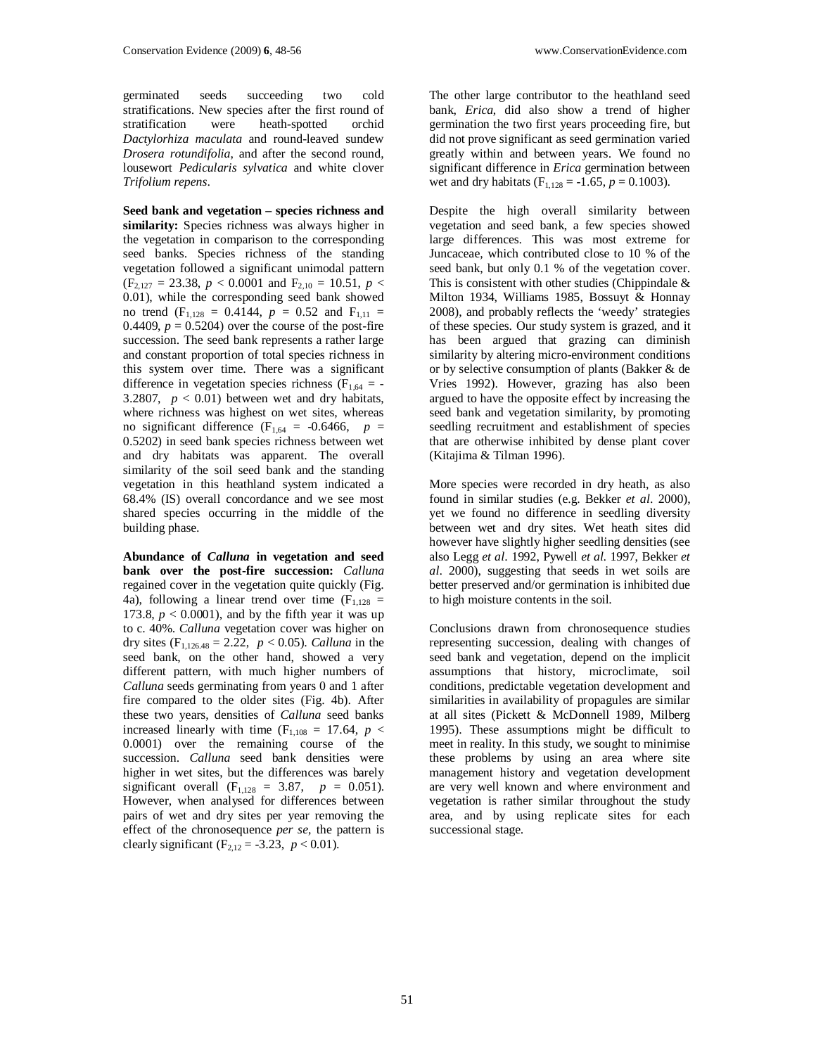germinated seeds succeeding two cold stratifications. New species after the first round of stratification were heath-spotted orchid heath-spotted orchid *Dactylorhiza maculata* and round-leaved sundew *Drosera rotundifolia*, and after the second round, lousewort *Pedicularis sylvatica* and white clover *Trifolium repens*.

**Seed bank and vegetation – species richness and similarity:** Species richness was always higher in the vegetation in comparison to the corresponding seed banks. Species richness of the standing vegetation followed a significant unimodal pattern  $(F_{2,127} = 23.38, p < 0.0001$  and  $F_{2,10} = 10.51, p <$ 0.01), while the corresponding seed bank showed no trend  $(F_{1,128} = 0.4144, p = 0.52$  and  $F_{1,11} =$ 0.4409,  $p = 0.5204$ ) over the course of the post-fire succession. The seed bank represents a rather large and constant proportion of total species richness in this system over time. There was a significant difference in vegetation species richness ( $F_{1,64}$  = -3.2807,  $p < 0.01$ ) between wet and dry habitats, where richness was highest on wet sites, whereas no significant difference  $(F<sub>1,64</sub> = -0.6466, p =$ 0.5202) in seed bank species richness between wet and dry habitats was apparent. The overall similarity of the soil seed bank and the standing vegetation in this heathland system indicated a 68.4% (IS) overall concordance and we see most shared species occurring in the middle of the building phase.

**Abundance of** *Calluna* **in vegetation and seed bank over the post-fire succession:** *Calluna* regained cover in the vegetation quite quickly (Fig. 4a), following a linear trend over time  $(F<sub>1,128</sub> =$ 173.8,  $p < 0.0001$ ), and by the fifth year it was up to c. 40%. *Calluna* vegetation cover was higher on dry sites  $(F_{1,126.48} = 2.22, p < 0.05)$ . *Calluna* in the seed bank, on the other hand, showed a very different pattern, with much higher numbers of *Calluna* seeds germinating from years 0 and 1 after fire compared to the older sites (Fig. 4b). After these two years, densities of *Calluna* seed banks increased linearly with time  $(F_{1,108} = 17.64, p <$ 0.0001) over the remaining course of the succession. *Calluna* seed bank densities were higher in wet sites, but the differences was barely significant overall  $(F_{1,128} = 3.87, p = 0.051)$ . However, when analysed for differences between pairs of wet and dry sites per year removing the effect of the chronosequence *per se,* the pattern is clearly significant (F<sub>2,12</sub> = -3.23, *p* < 0.01).

The other large contributor to the heathland seed bank, *Erica*, did also show a trend of higher germination the two first years proceeding fire, but did not prove significant as seed germination varied greatly within and between years. We found no significant difference in *Erica* germination between wet and dry habitats ( $F_{1,128} = -1.65$ ,  $p = 0.1003$ ).

Despite the high overall similarity between vegetation and seed bank, a few species showed large differences. This was most extreme for Juncaceae*,* which contributed close to 10 % of the seed bank, but only 0.1 % of the vegetation cover. This is consistent with other studies (Chippindale  $\&$ Milton 1934, Williams 1985, Bossuyt & Honnay 2008), and probably reflects the 'weedy' strategies of these species. Our study system is grazed, and it has been argued that grazing can diminish similarity by altering micro-environment conditions or by selective consumption of plants (Bakker & de Vries 1992). However, grazing has also been argued to have the opposite effect by increasing the seed bank and vegetation similarity, by promoting seedling recruitment and establishment of species that are otherwise inhibited by dense plant cover (Kitajima & Tilman 1996).

More species were recorded in dry heath, as also found in similar studies (e.g. Bekker *et al*. 2000), yet we found no difference in seedling diversity between wet and dry sites. Wet heath sites did however have slightly higher seedling densities (see also Legg *et al*. 1992, Pywell *et al*. 1997, Bekker *et al*. 2000), suggesting that seeds in wet soils are better preserved and/or germination is inhibited due to high moisture contents in the soil.

Conclusions drawn from chronosequence studies representing succession, dealing with changes of seed bank and vegetation, depend on the implicit assumptions that history, microclimate, soil conditions, predictable vegetation development and similarities in availability of propagules are similar at all sites (Pickett & McDonnell 1989, Milberg 1995). These assumptions might be difficult to meet in reality. In this study, we sought to minimise these problems by using an area where site management history and vegetation development are very well known and where environment and vegetation is rather similar throughout the study area, and by using replicate sites for each successional stage.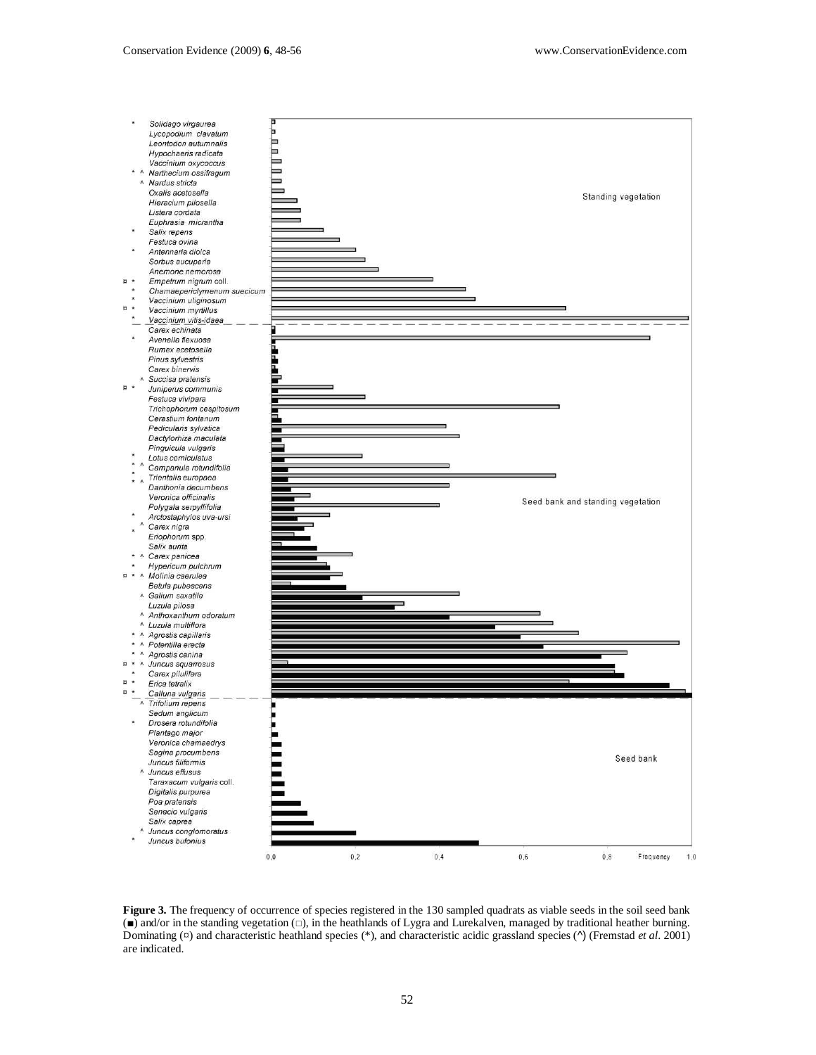

**Figure 3.** The frequency of occurrence of species registered in the 130 sampled quadrats as viable seeds in the soil seed bank (■) and/or in the standing vegetation (□), in the heathlands of Lygra and Lurekalven, managed by traditional heather burning. Dominating (¤) and characteristic heathland species (\*), and characteristic acidic grassland species (^) (Fremstad *et al*. 2001) are indicated.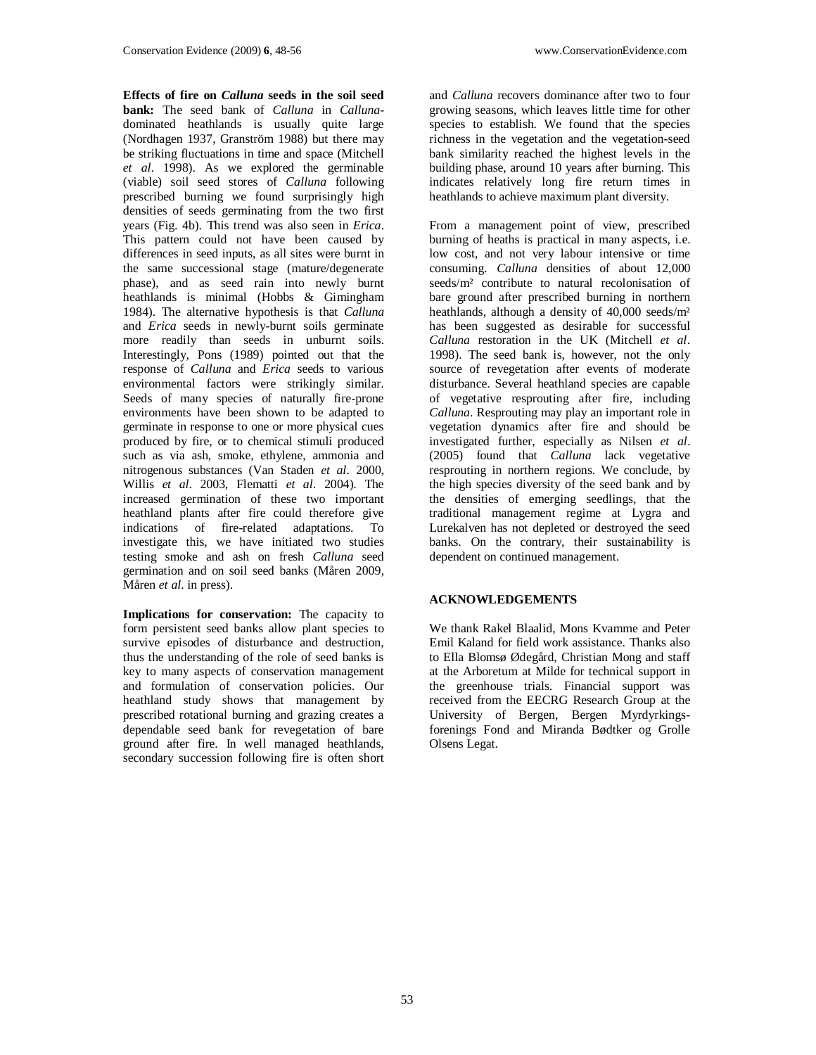**Effects of fire on** *Calluna* **seeds in the soil seed bank:** The seed bank of *Calluna* in *Calluna*dominated heathlands is usually quite large (Nordhagen 1937, Granström 1988) but there may be striking fluctuations in time and space (Mitchell *et al*. 1998). As we explored the germinable (viable) soil seed stores of *Calluna* following prescribed burning we found surprisingly high densities of seeds germinating from the two first years (Fig. 4b). This trend was also seen in *Erica*. This pattern could not have been caused by differences in seed inputs, as all sites were burnt in the same successional stage (mature/degenerate phase), and as seed rain into newly burnt heathlands is minimal (Hobbs & Gimingham 1984). The alternative hypothesis is that *Calluna* and *Erica* seeds in newly-burnt soils germinate more readily than seeds in unburnt soils. Interestingly, Pons (1989) pointed out that the response of *Calluna* and *Erica* seeds to various environmental factors were strikingly similar. Seeds of many species of naturally fire-prone environments have been shown to be adapted to germinate in response to one or more physical cues produced by fire, or to chemical stimuli produced such as via ash, smoke, ethylene, ammonia and nitrogenous substances (Van Staden *et al*. 2000, Willis *et al*. 2003, Flematti *et al*. 2004). The increased germination of these two important heathland plants after fire could therefore give indications of fire-related adaptations. To investigate this, we have initiated two studies testing smoke and ash on fresh *Calluna* seed germination and on soil seed banks (Måren 2009, Måren *et al*. in press).

**Implications for conservation:** The capacity to form persistent seed banks allow plant species to survive episodes of disturbance and destruction, thus the understanding of the role of seed banks is key to many aspects of conservation management and formulation of conservation policies. Our heathland study shows that management by prescribed rotational burning and grazing creates a dependable seed bank for revegetation of bare ground after fire. In well managed heathlands, secondary succession following fire is often short

and *Calluna* recovers dominance after two to four growing seasons, which leaves little time for other species to establish. We found that the species richness in the vegetation and the vegetation-seed bank similarity reached the highest levels in the building phase, around 10 years after burning. This indicates relatively long fire return times in heathlands to achieve maximum plant diversity.

From a management point of view, prescribed burning of heaths is practical in many aspects, i.e. low cost, and not very labour intensive or time consuming. *Calluna* densities of about 12,000 seeds/m<sup>2</sup> contribute to natural recolonisation of bare ground after prescribed burning in northern heathlands, although a density of 40,000 seeds/m² has been suggested as desirable for successful *Calluna* restoration in the UK (Mitchell *et al*. 1998). The seed bank is, however, not the only source of revegetation after events of moderate disturbance. Several heathland species are capable of vegetative resprouting after fire, including *Calluna*. Resprouting may play an important role in vegetation dynamics after fire and should be investigated further, especially as Nilsen *et al*. (2005) found that *Calluna* lack vegetative resprouting in northern regions. We conclude, by the high species diversity of the seed bank and by the densities of emerging seedlings, that the traditional management regime at Lygra and Lurekalven has not depleted or destroyed the seed banks. On the contrary, their sustainability is dependent on continued management.

# **ACKNOWLEDGEMENTS**

We thank Rakel Blaalid, Mons Kvamme and Peter Emil Kaland for field work assistance. Thanks also to Ella Blomsø Ødegård, Christian Mong and staff at the Arboretum at Milde for technical support in the greenhouse trials. Financial support was received from the EECRG Research Group at the University of Bergen, Bergen Myrdyrkingsforenings Fond and Miranda Bødtker og Grolle Olsens Legat.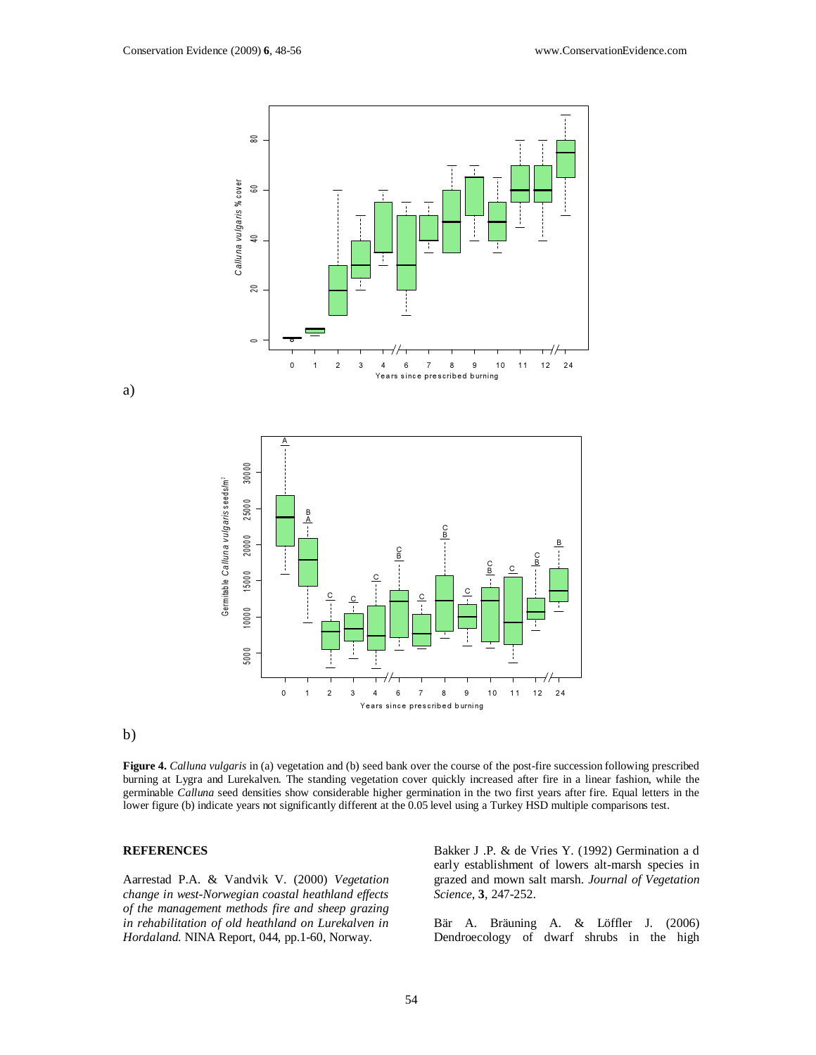

a)



#### b)

**Figure 4.** *Calluna vulgaris* in (a) vegetation and (b) seed bank over the course of the post-fire succession following prescribed burning at Lygra and Lurekalven. The standing vegetation cover quickly increased after fire in a linear fashion, while the germinable *Calluna* seed densities show considerable higher germination in the two first years after fire. Equal letters in the lower figure (b) indicate years not significantly different at the 0.05 level using a Turkey HSD multiple comparisons test.

#### **REFERENCES**

Aarrestad P.A. & Vandvik V. (2000) *Vegetation change in west-Norwegian coastal heathland effects of the management methods fire and sheep grazing in rehabilitation of old heathland on Lurekalven in Hordaland*. NINA Report, 044, pp.1-60, Norway.

Bakker J .P. & de Vries Y. (1992) Germination a d early establishment of lowers alt-marsh species in grazed and mown salt marsh. *Journal of Vegetation Science*, **3**, 247-252.

Bär A. Bräuning A. & Löffler J. (2006) Dendroecology of dwarf shrubs in the high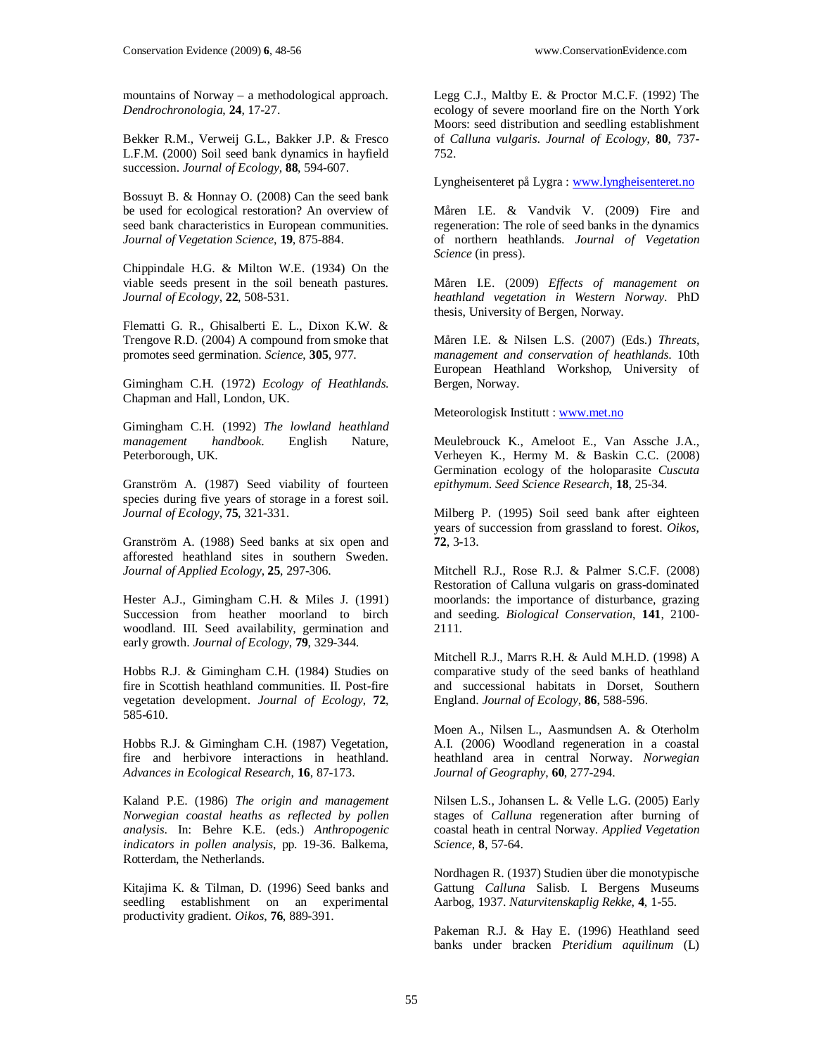mountains of Norway – a methodological approach. *Dendrochronologia*, **24**, 17-27.

Bekker R.M., Verweij G.L., Bakker J.P. & Fresco L.F.M. (2000) Soil seed bank dynamics in hayfield succession. *Journal of Ecology*, **88**, 594-607.

Bossuyt B. & Honnay O. (2008) Can the seed bank be used for ecological restoration? An overview of seed bank characteristics in European communities. *Journal of Vegetation Science*, **19**, 875-884.

Chippindale H.G. & Milton W.E. (1934) On the viable seeds present in the soil beneath pastures. *Journal of Ecology*, **22**, 508-531.

Flematti G. R., Ghisalberti E. L., Dixon K.W. & Trengove R.D. (2004) A compound from smoke that promotes seed germination. *Science*, **305**, 977.

Gimingham C.H. (1972) *Ecology of Heathlands*. Chapman and Hall, London, UK.

Gimingham C.H. (1992) *The lowland heathland management handbook*. English Nature, Peterborough, UK.

Granström A. (1987) Seed viability of fourteen species during five years of storage in a forest soil. *Journal of Ecology*, **75**, 321-331.

Granström A. (1988) Seed banks at six open and afforested heathland sites in southern Sweden. *Journal of Applied Ecology*, **25**, 297-306.

Hester A.J., Gimingham C.H. & Miles J. (1991) Succession from heather moorland to birch woodland. III. Seed availability, germination and early growth. *Journal of Ecology*, **79**, 329-344.

Hobbs R.J. & Gimingham C.H. (1984) Studies on fire in Scottish heathland communities. II. Post-fire vegetation development. *Journal of Ecology*, **72**, 585-610.

Hobbs R.J. & Gimingham C.H. (1987) Vegetation, fire and herbivore interactions in heathland. *Advances in Ecological Research*, **16**, 87-173.

Kaland P.E. (1986) *The origin and management Norwegian coastal heaths as reflected by pollen analysis*. In: Behre K.E. (eds.) *Anthropogenic indicators in pollen analysis*, pp. 19-36. Balkema, Rotterdam, the Netherlands.

Kitajima K. & Tilman, D. (1996) Seed banks and seedling establishment on an experimental productivity gradient. *Oikos*, **76**, 889-391.

Legg C.J., Maltby E. & Proctor M.C.F. (1992) The ecology of severe moorland fire on the North York Moors: seed distribution and seedling establishment of *Calluna vulgaris*. *Journal of Ecology*, **80**, 737- 752.

Lyngheisenteret på Lygra : www.lyngheisenteret.no

Måren I.E. & Vandvik V. (2009) Fire and regeneration: The role of seed banks in the dynamics of northern heathlands. *Journal of Vegetation Science* (in press).

Måren I.E. (2009) *Effects of management on heathland vegetation in Western Norway*. PhD thesis, University of Bergen, Norway.

Måren I.E. & Nilsen L.S. (2007) (Eds.) *Threats, management and conservation of heathlands*. 10th European Heathland Workshop, University of Bergen, Norway.

Meteorologisk Institutt : www.met.no

Meulebrouck K., Ameloot E., Van Assche J.A., Verheyen K., Hermy M. & Baskin C.C. (2008) Germination ecology of the holoparasite *Cuscuta epithymum*. *Seed Science Research*, **18**, 25-34.

Milberg P. (1995) Soil seed bank after eighteen years of succession from grassland to forest. *Oikos*, **72**, 3-13.

Mitchell R.J., Rose R.J. & Palmer S.C.F. (2008) Restoration of Calluna vulgaris on grass-dominated moorlands: the importance of disturbance, grazing and seeding. *Biological Conservation*, **141**, 2100- 2111.

Mitchell R.J., Marrs R.H. & Auld M.H.D. (1998) A comparative study of the seed banks of heathland and successional habitats in Dorset, Southern England. *Journal of Ecology*, **86**, 588-596.

Moen A., Nilsen L., Aasmundsen A. & Oterholm A.I. (2006) Woodland regeneration in a coastal heathland area in central Norway. *Norwegian Journal of Geography*, **60**, 277-294.

Nilsen L.S., Johansen L. & Velle L.G. (2005) Early stages of *Calluna* regeneration after burning of coastal heath in central Norway. *Applied Vegetation Science*, **8**, 57-64.

Nordhagen R. (1937) Studien über die monotypische Gattung *Calluna* Salisb. I. Bergens Museums Aarbog, 1937. *Naturvitenskaplig Rekke*, **4**, 1-55.

Pakeman R.J. & Hay E. (1996) Heathland seed banks under bracken *Pteridium aquilinum* (L)